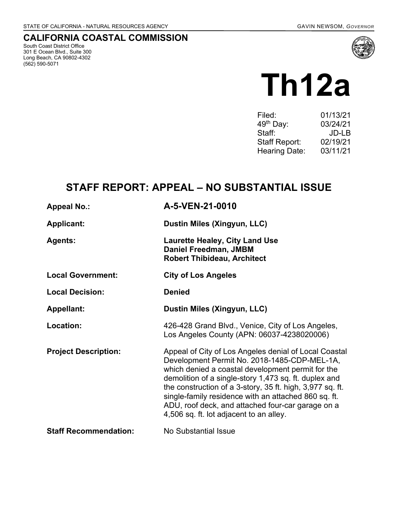## **CALIFORNIA COASTAL COMMISSION**

South Coast District Office 301 E Ocean Blvd., Suite 300 Long Beach, CA 90802-4302 (562) 590-5071



# **Th12a**

| 01/13/21 |
|----------|
| 03/24/21 |
| JD-LB    |
| 02/19/21 |
| 03/11/21 |
|          |

# **STAFF REPORT: APPEAL – NO SUBSTANTIAL ISSUE**

| <b>Appeal No.:</b>           | A-5-VEN-21-0010                                                                                                                                                                                                                                                                                                                                                                                                                          |
|------------------------------|------------------------------------------------------------------------------------------------------------------------------------------------------------------------------------------------------------------------------------------------------------------------------------------------------------------------------------------------------------------------------------------------------------------------------------------|
| <b>Applicant:</b>            | Dustin Miles (Xingyun, LLC)                                                                                                                                                                                                                                                                                                                                                                                                              |
| <b>Agents:</b>               | <b>Laurette Healey, City Land Use</b><br>Daniel Freedman, JMBM<br><b>Robert Thibideau, Architect</b>                                                                                                                                                                                                                                                                                                                                     |
| <b>Local Government:</b>     | <b>City of Los Angeles</b>                                                                                                                                                                                                                                                                                                                                                                                                               |
| <b>Local Decision:</b>       | <b>Denied</b>                                                                                                                                                                                                                                                                                                                                                                                                                            |
| <b>Appellant:</b>            | Dustin Miles (Xingyun, LLC)                                                                                                                                                                                                                                                                                                                                                                                                              |
| Location:                    | 426-428 Grand Blvd., Venice, City of Los Angeles,<br>Los Angeles County (APN: 06037-4238020006)                                                                                                                                                                                                                                                                                                                                          |
| <b>Project Description:</b>  | Appeal of City of Los Angeles denial of Local Coastal<br>Development Permit No. 2018-1485-CDP-MEL-1A,<br>which denied a coastal development permit for the<br>demolition of a single-story 1,473 sq. ft. duplex and<br>the construction of a 3-story, 35 ft. high, 3,977 sq. ft.<br>single-family residence with an attached 860 sq. ft.<br>ADU, roof deck, and attached four-car garage on a<br>4,506 sq. ft. lot adjacent to an alley. |
| <b>Staff Recommendation:</b> | No Substantial Issue                                                                                                                                                                                                                                                                                                                                                                                                                     |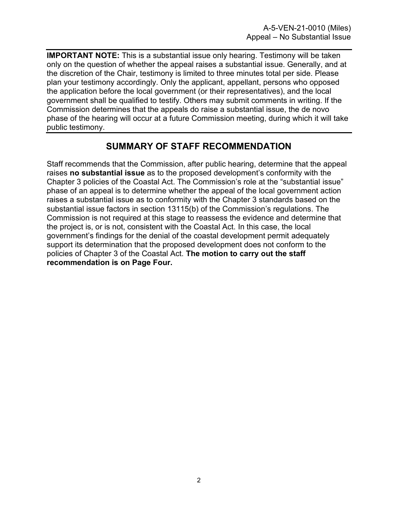**IMPORTANT NOTE:** This is a substantial issue only hearing. Testimony will be taken only on the question of whether the appeal raises a substantial issue. Generally, and at the discretion of the Chair, testimony is limited to three minutes total per side. Please plan your testimony accordingly. Only the applicant, appellant, persons who opposed the application before the local government (or their representatives), and the local government shall be qualified to testify. Others may submit comments in writing. If the Commission determines that the appeals do raise a substantial issue, the de novo phase of the hearing will occur at a future Commission meeting, during which it will take public testimony.

## **SUMMARY OF STAFF RECOMMENDATION**

Staff recommends that the Commission, after public hearing, determine that the appeal raises **no substantial issue** as to the proposed development's conformity with the Chapter 3 policies of the Coastal Act. The Commission's role at the "substantial issue" phase of an appeal is to determine whether the appeal of the local government action raises a substantial issue as to conformity with the Chapter 3 standards based on the substantial issue factors in section 13115(b) of the Commission's regulations. The Commission is not required at this stage to reassess the evidence and determine that the project is, or is not, consistent with the Coastal Act. In this case, the local government's findings for the denial of the coastal development permit adequately support its determination that the proposed development does not conform to the policies of Chapter 3 of the Coastal Act. **The motion to carry out the staff recommendation is on Page Four.**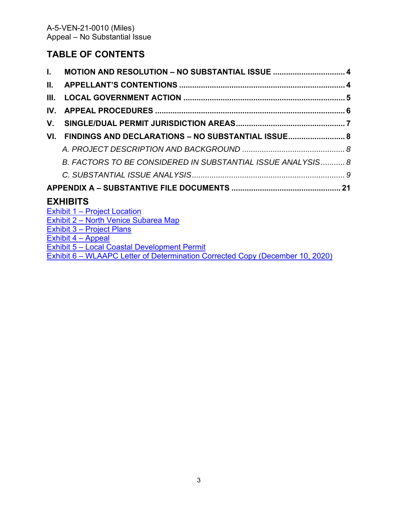## **TABLE OF CONTENTS**

| L.   |                                                            |  |
|------|------------------------------------------------------------|--|
| II.  |                                                            |  |
| III. |                                                            |  |
| IV.  |                                                            |  |
| V.   |                                                            |  |
| VI.  | FINDINGS AND DECLARATIONS - NO SUBSTANTIAL ISSUE           |  |
|      |                                                            |  |
|      | B. FACTORS TO BE CONSIDERED IN SUBSTANTIAL ISSUE ANALYSIS8 |  |
|      |                                                            |  |
|      |                                                            |  |
|      | <b>EXHIBITS</b>                                            |  |
|      | Exhibit 1 - Project Location                               |  |
|      | Exhibit 2 - North Venice Subarea Map                       |  |
|      | Exhibit 3 – Project Plans                                  |  |
|      | Exhibit $4 -$ Appeal                                       |  |

Exhibit 5 – [Local Coastal Development Permit](https://documents.coastal.ca.gov/reports/2021/3/Th12a/Th12a-3-2021-exhibits.pdf)

Exhibit 6 – [WLAAPC Letter of Determination Corrected Copy \(December 10, 2020\)](https://documents.coastal.ca.gov/reports/2021/3/Th12a/Th12a-3-2021-exhibits.pdf)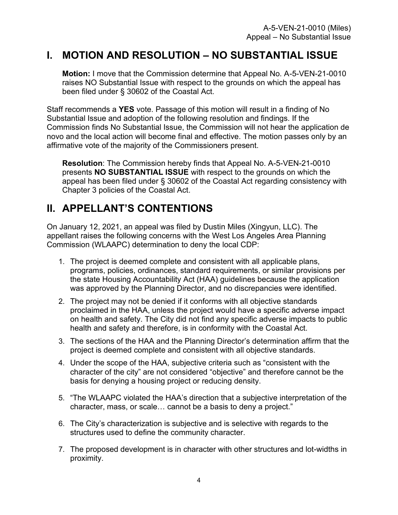# <span id="page-3-0"></span>**I. MOTION AND RESOLUTION – NO SUBSTANTIAL ISSUE**

**Motion:** I move that the Commission determine that Appeal No. A-5-VEN-21-0010 raises NO Substantial Issue with respect to the grounds on which the appeal has been filed under § 30602 of the Coastal Act.

Staff recommends a **YES** vote. Passage of this motion will result in a finding of No Substantial Issue and adoption of the following resolution and findings. If the Commission finds No Substantial Issue, the Commission will not hear the application de novo and the local action will become final and effective. The motion passes only by an affirmative vote of the majority of the Commissioners present.

**Resolution**: The Commission hereby finds that Appeal No. A-5-VEN-21-0010 presents **NO SUBSTANTIAL ISSUE** with respect to the grounds on which the appeal has been filed under § 30602 of the Coastal Act regarding consistency with Chapter 3 policies of the Coastal Act.

# <span id="page-3-1"></span>**II. APPELLANT'S CONTENTIONS**

On January 12, 2021, an appeal was filed by Dustin Miles (Xingyun, LLC). The appellant raises the following concerns with the West Los Angeles Area Planning Commission (WLAAPC) determination to deny the local CDP:

- 1. The project is deemed complete and consistent with all applicable plans, programs, policies, ordinances, standard requirements, or similar provisions per the state Housing Accountability Act (HAA) guidelines because the application was approved by the Planning Director, and no discrepancies were identified.
- 2. The project may not be denied if it conforms with all objective standards proclaimed in the HAA, unless the project would have a specific adverse impact on health and safety. The City did not find any specific adverse impacts to public health and safety and therefore, is in conformity with the Coastal Act.
- 3. The sections of the HAA and the Planning Director's determination affirm that the project is deemed complete and consistent with all objective standards.
- 4. Under the scope of the HAA, subjective criteria such as "consistent with the character of the city" are not considered "objective" and therefore cannot be the basis for denying a housing project or reducing density.
- 5. "The WLAAPC violated the HAA's direction that a subjective interpretation of the character, mass, or scale… cannot be a basis to deny a project."
- 6. The City's characterization is subjective and is selective with regards to the structures used to define the community character.
- 7. The proposed development is in character with other structures and lot-widths in proximity.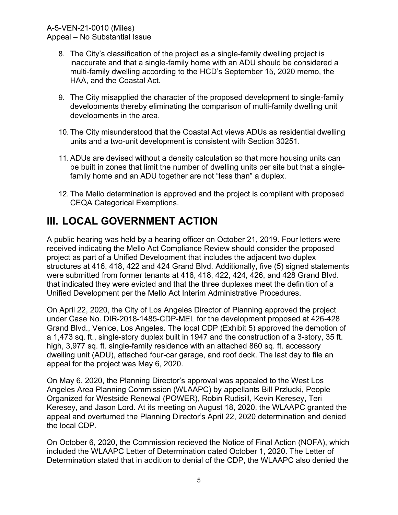- 8. The City's classification of the project as a single-family dwelling project is inaccurate and that a single-family home with an ADU should be considered a multi-family dwelling according to the HCD's September 15, 2020 memo, the HAA, and the Coastal Act.
- 9. The City misapplied the character of the proposed development to single-family developments thereby eliminating the comparison of multi-family dwelling unit developments in the area.
- 10. The City misunderstood that the Coastal Act views ADUs as residential dwelling units and a two-unit development is consistent with Section 30251.
- 11. ADUs are devised without a density calculation so that more housing units can be built in zones that limit the number of dwelling units per site but that a singlefamily home and an ADU together are not "less than" a duplex.
- 12. The Mello determination is approved and the project is compliant with proposed CEQA Categorical Exemptions.

# <span id="page-4-0"></span>**III. LOCAL GOVERNMENT ACTION**

A public hearing was held by a hearing officer on October 21, 2019. Four letters were received indicating the Mello Act Compliance Review should consider the proposed project as part of a Unified Development that includes the adjacent two duplex structures at 416, 418, 422 and 424 Grand Blvd. Additionally, five (5) signed statements were submitted from former tenants at 416, 418, 422, 424, 426, and 428 Grand Blvd. that indicated they were evicted and that the three duplexes meet the definition of a Unified Development per the Mello Act Interim Administrative Procedures.

On April 22, 2020, the City of Los Angeles Director of Planning approved the project under Case No. DIR-2018-1485-CDP-MEL for the development proposed at 426-428 Grand Blvd., Venice, Los Angeles. The local CDP (Exhibit 5) approved the demotion of a 1,473 sq. ft., single-story duplex built in 1947 and the construction of a 3-story, 35 ft. high, 3,977 sq. ft. single-family residence with an attached 860 sq. ft. accessory dwelling unit (ADU), attached four-car garage, and roof deck. The last day to file an appeal for the project was May 6, 2020.

On May 6, 2020, the Planning Director's approval was appealed to the West Los Angeles Area Planning Commission (WLAAPC) by appellants Bill Przlucki, People Organized for Westside Renewal (POWER), Robin Rudisill, Kevin Keresey, Teri Keresey, and Jason Lord. At its meeting on August 18, 2020, the WLAAPC granted the appeal and overturned the Planning Director's April 22, 2020 determination and denied the local CDP.

On October 6, 2020, the Commission recieved the Notice of Final Action (NOFA), which included the WLAAPC Letter of Determination dated October 1, 2020. The Letter of Determination stated that in addition to denial of the CDP, the WLAAPC also denied the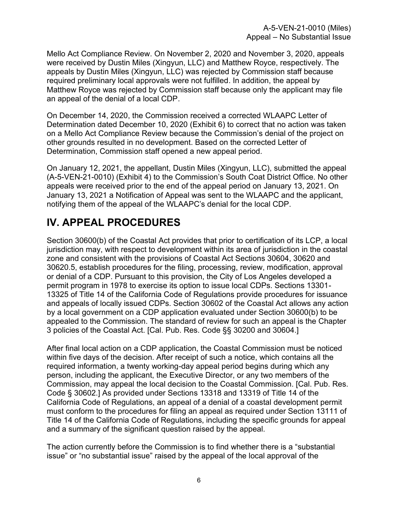Mello Act Compliance Review. On November 2, 2020 and November 3, 2020, appeals were received by Dustin Miles (Xingyun, LLC) and Matthew Royce, respectively. The appeals by Dustin Miles (Xingyun, LLC) was rejected by Commission staff because required preliminary local approvals were not fulfilled. In addition, the appeal by Matthew Royce was rejected by Commission staff because only the applicant may file an appeal of the denial of a local CDP.

On December 14, 2020, the Commission received a corrected WLAAPC Letter of Determination dated December 10, 2020 (Exhibit 6) to correct that no action was taken on a Mello Act Compliance Review because the Commission's denial of the project on other grounds resulted in no development. Based on the corrected Letter of Determination, Commission staff opened a new appeal period.

On January 12, 2021, the appellant, Dustin Miles (Xingyun, LLC), submitted the appeal (A-5-VEN-21-0010) (Exhibit 4) to the Commission's South Coat District Office. No other appeals were received prior to the end of the appeal period on January 13, 2021. On January 13, 2021 a Notification of Appeal was sent to the WLAAPC and the applicant, notifying them of the appeal of the WLAAPC's denial for the local CDP.

# <span id="page-5-0"></span>**IV. APPEAL PROCEDURES**

Section 30600(b) of the Coastal Act provides that prior to certification of its LCP, a local jurisdiction may, with respect to development within its area of jurisdiction in the coastal zone and consistent with the provisions of Coastal Act Sections 30604, 30620 and 30620.5, establish procedures for the filing, processing, review, modification, approval or denial of a CDP. Pursuant to this provision, the City of Los Angeles developed a permit program in 1978 to exercise its option to issue local CDPs. Sections 13301- 13325 of Title 14 of the California Code of Regulations provide procedures for issuance and appeals of locally issued CDPs. Section 30602 of the Coastal Act allows any action by a local government on a CDP application evaluated under Section 30600(b) to be appealed to the Commission. The standard of review for such an appeal is the Chapter 3 policies of the Coastal Act. [Cal. Pub. Res. Code §§ 30200 and 30604.]

After final local action on a CDP application, the Coastal Commission must be noticed within five days of the decision. After receipt of such a notice, which contains all the required information, a twenty working-day appeal period begins during which any person, including the applicant, the Executive Director, or any two members of the Commission, may appeal the local decision to the Coastal Commission. [Cal. Pub. Res. Code § 30602.] As provided under Sections 13318 and 13319 of Title 14 of the California Code of Regulations, an appeal of a denial of a coastal development permit must conform to the procedures for filing an appeal as required under Section 13111 of Title 14 of the California Code of Regulations, including the specific grounds for appeal and a summary of the significant question raised by the appeal.

The action currently before the Commission is to find whether there is a "substantial issue" or "no substantial issue" raised by the appeal of the local approval of the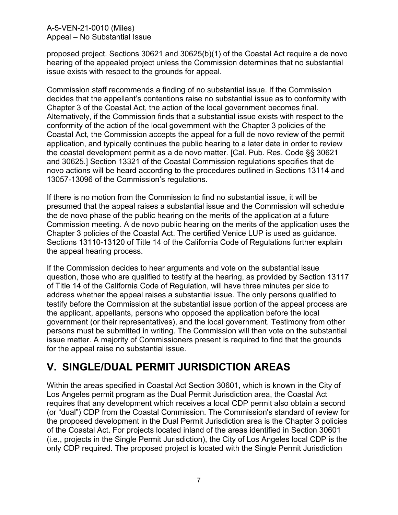#### A-5-VEN-21-0010 (Miles) Appeal – No Substantial Issue

proposed project. Sections 30621 and 30625(b)(1) of the Coastal Act require a de novo hearing of the appealed project unless the Commission determines that no substantial issue exists with respect to the grounds for appeal.

Commission staff recommends a finding of no substantial issue. If the Commission decides that the appellant's contentions raise no substantial issue as to conformity with Chapter 3 of the Coastal Act, the action of the local government becomes final. Alternatively, if the Commission finds that a substantial issue exists with respect to the conformity of the action of the local government with the Chapter 3 policies of the Coastal Act, the Commission accepts the appeal for a full de novo review of the permit application, and typically continues the public hearing to a later date in order to review the coastal development permit as a de novo matter. [Cal. Pub. Res. Code §§ 30621 and 30625.] Section 13321 of the Coastal Commission regulations specifies that de novo actions will be heard according to the procedures outlined in Sections 13114 and 13057-13096 of the Commission's regulations.

If there is no motion from the Commission to find no substantial issue, it will be presumed that the appeal raises a substantial issue and the Commission will schedule the de novo phase of the public hearing on the merits of the application at a future Commission meeting. A de novo public hearing on the merits of the application uses the Chapter 3 policies of the Coastal Act. The certified Venice LUP is used as guidance. Sections 13110-13120 of Title 14 of the California Code of Regulations further explain the appeal hearing process.

If the Commission decides to hear arguments and vote on the substantial issue question, those who are qualified to testify at the hearing, as provided by Section 13117 of Title 14 of the California Code of Regulation, will have three minutes per side to address whether the appeal raises a substantial issue. The only persons qualified to testify before the Commission at the substantial issue portion of the appeal process are the applicant, appellants, persons who opposed the application before the local government (or their representatives), and the local government. Testimony from other persons must be submitted in writing. The Commission will then vote on the substantial issue matter. A majority of Commissioners present is required to find that the grounds for the appeal raise no substantial issue.

# <span id="page-6-0"></span>**V. SINGLE/DUAL PERMIT JURISDICTION AREAS**

Within the areas specified in Coastal Act Section 30601, which is known in the City of Los Angeles permit program as the Dual Permit Jurisdiction area, the Coastal Act requires that any development which receives a local CDP permit also obtain a second (or "dual") CDP from the Coastal Commission. The Commission's standard of review for the proposed development in the Dual Permit Jurisdiction area is the Chapter 3 policies of the Coastal Act. For projects located inland of the areas identified in Section 30601 (i.e., projects in the Single Permit Jurisdiction), the City of Los Angeles local CDP is the only CDP required. The proposed project is located with the Single Permit Jurisdiction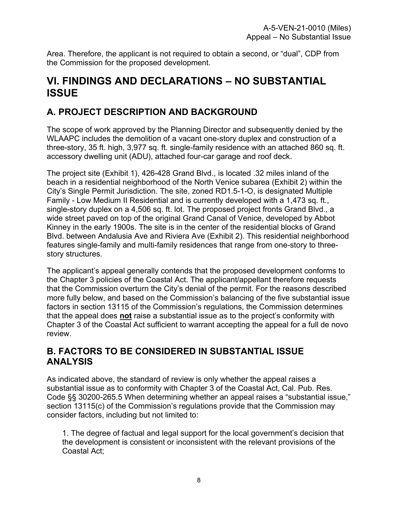Area. Therefore, the applicant is not required to obtain a second, or "dual", CDP from the Commission for the proposed development.

## <span id="page-7-0"></span>**VI. FINDINGS AND DECLARATIONS – NO SUBSTANTIAL ISSUE**

## <span id="page-7-1"></span>**A. PROJECT DESCRIPTION AND BACKGROUND**

The scope of work approved by the Planning Director and subsequently denied by the WLAAPC includes the demolition of a vacant one-story duplex and construction of a three-story, 35 ft. high, 3,977 sq. ft. single-family residence with an attached 860 sq. ft. accessory dwelling unit (ADU), attached four-car garage and roof deck.

The project site (Exhibit 1), 426-428 Grand Blvd., is located .32 miles inland of the beach in a residential neighborhood of the North Venice subarea (Exhibit 2) within the City's Single Permit Jurisdiction. The site, zoned RD1.5-1-O, is designated Multiple Family - Low Medium II Residential and is currently developed with a 1,473 sq. ft., single-story duplex on a 4,506 sq. ft. lot. The proposed project fronts Grand Blvd., a wide street paved on top of the original Grand Canal of Venice, developed by Abbot Kinney in the early 1900s. The site is in the center of the residential blocks of Grand Blvd. between Andalusia Ave and Riviera Ave (Exhibit 2). This residential neighborhood features single-family and multi-family residences that range from one-story to threestory structures.

The applicant's appeal generally contends that the proposed development conforms to the Chapter 3 policies of the Coastal Act. The applicant/appellant therefore requests that the Commission overturn the City's denial of the permit. For the reasons described more fully below, and based on the Commission's balancing of the five substantial issue factors in section 13115 of the Commission's regulations, the Commission determines that the appeal does **not** raise a substantial issue as to the project's conformity with Chapter 3 of the Coastal Act sufficient to warrant accepting the appeal for a full de novo review.

## <span id="page-7-2"></span>**B. FACTORS TO BE CONSIDERED IN SUBSTANTIAL ISSUE ANALYSIS**

As indicated above, the standard of review is only whether the appeal raises a substantial issue as to conformity with Chapter 3 of the Coastal Act, Cal. Pub. Res. Code §§ 30200-265.5 When determining whether an appeal raises a "substantial issue," section 13115(c) of the Commission's regulations provide that the Commission may consider factors, including but not limited to:

1. The degree of factual and legal support for the local government's decision that the development is consistent or inconsistent with the relevant provisions of the Coastal Act;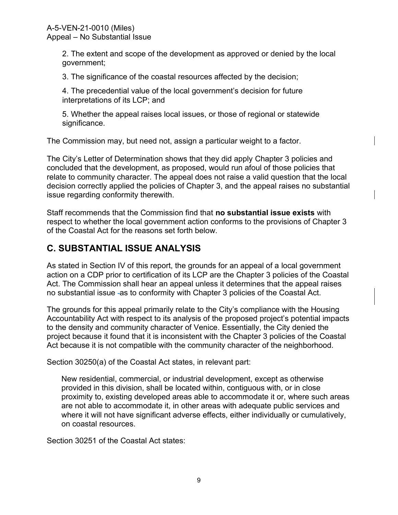2. The extent and scope of the development as approved or denied by the local government;

3. The significance of the coastal resources affected by the decision;

4. The precedential value of the local government's decision for future interpretations of its LCP; and

5. Whether the appeal raises local issues, or those of regional or statewide significance.

The Commission may, but need not, assign a particular weight to a factor.

The City's Letter of Determination shows that they did apply Chapter 3 policies and concluded that the development, as proposed, would run afoul of those policies that relate to community character. The appeal does not raise a valid question that the local decision correctly applied the policies of Chapter 3, and the appeal raises no substantial issue regarding conformity therewith.

Staff recommends that the Commission find that **no substantial issue exists** with respect to whether the local government action conforms to the provisions of Chapter 3 of the Coastal Act for the reasons set forth below.

## <span id="page-8-0"></span>**C. SUBSTANTIAL ISSUE ANALYSIS**

As stated in Section IV of this report, the grounds for an appeal of a local government action on a CDP prior to certification of its LCP are the Chapter 3 policies of the Coastal Act. The Commission shall hear an appeal unless it determines that the appeal raises no substantial issue as to conformity with Chapter 3 policies of the Coastal Act.

The grounds for this appeal primarily relate to the City's compliance with the Housing Accountability Act with respect to its analysis of the proposed project's potential impacts to the density and community character of Venice. Essentially, the City denied the project because it found that it is inconsistent with the Chapter 3 policies of the Coastal Act because it is not compatible with the community character of the neighborhood.

Section 30250(a) of the Coastal Act states, in relevant part:

New residential, commercial, or industrial development, except as otherwise provided in this division, shall be located within, contiguous with, or in close proximity to, existing developed areas able to accommodate it or, where such areas are not able to accommodate it, in other areas with adequate public services and where it will not have significant adverse effects, either individually or cumulatively, on coastal resources.

Section 30251 of the Coastal Act states: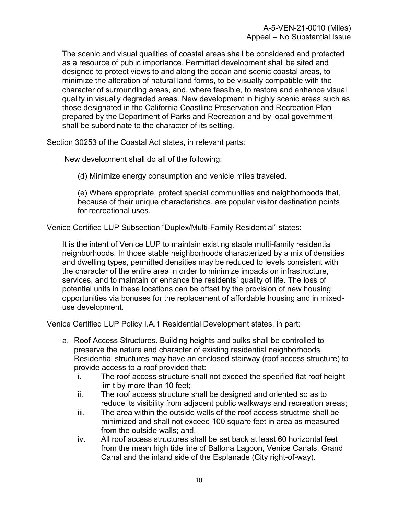The scenic and visual qualities of coastal areas shall be considered and protected as a resource of public importance. Permitted development shall be sited and designed to protect views to and along the ocean and scenic coastal areas, to minimize the alteration of natural land forms, to be visually compatible with the character of surrounding areas, and, where feasible, to restore and enhance visual quality in visually degraded areas. New development in highly scenic areas such as those designated in the California Coastline Preservation and Recreation Plan prepared by the Department of Parks and Recreation and by local government shall be subordinate to the character of its setting.

Section 30253 of the Coastal Act states, in relevant parts:

New development shall do all of the following:

(d) Minimize energy consumption and vehicle miles traveled.

(e) Where appropriate, protect special communities and neighborhoods that, because of their unique characteristics, are popular visitor destination points for recreational uses.

Venice Certified LUP Subsection "Duplex/Multi-Family Residential" states:

It is the intent of Venice LUP to maintain existing stable multi-family residential neighborhoods. In those stable neighborhoods characterized by a mix of densities and dwelling types, permitted densities may be reduced to levels consistent with the character of the entire area in order to minimize impacts on infrastructure, services, and to maintain or enhance the residents' quality of life. The loss of potential units in these locations can be offset by the provision of new housing opportunities via bonuses for the replacement of affordable housing and in mixeduse development.

Venice Certified LUP Policy I.A.1 Residential Development states, in part:

- a. Roof Access Structures. Building heights and bulks shall be controlled to preserve the nature and character of existing residential neighborhoods. Residential structures may have an enclosed stairway (roof access structure) to provide access to a roof provided that:
	- i. The roof access structure shall not exceed the specified flat roof height limit by more than 10 feet;
	- ii. The roof access structure shall be designed and oriented so as to reduce its visibility from adjacent public walkways and recreation areas;
	- iii. The area within the outside walls of the roof access structme shall be minimized and shall not exceed 100 square feet in area as measured from the outside walls; and,
	- iv. All roof access structures shall be set back at least 60 horizontal feet from the mean high tide line of Ballona Lagoon, Venice Canals, Grand Canal and the inland side of the Esplanade (City right-of-way).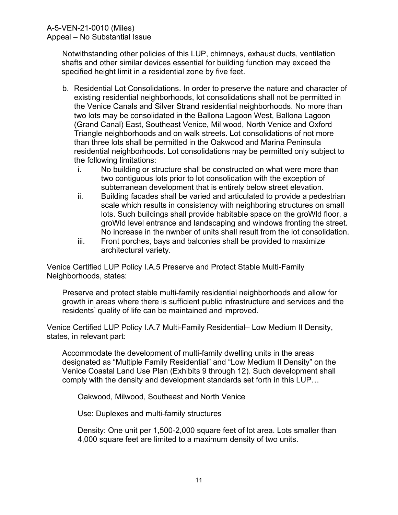Notwithstanding other policies of this LUP, chimneys, exhaust ducts, ventilation shafts and other similar devices essential for building function may exceed the specified height limit in a residential zone by five feet.

- b. Residential Lot Consolidations. In order to preserve the nature and character of existing residential neighborhoods, lot consolidations shall not be permitted in the Venice Canals and Silver Strand residential neighborhoods. No more than two lots may be consolidated in the Ballona Lagoon West, Ballona Lagoon (Grand Canal) East, Southeast Venice, Mil wood, North Venice and Oxford Triangle neighborhoods and on walk streets. Lot consolidations of not more than three lots shall be permitted in the Oakwood and Marina Peninsula residential neighborhoods. Lot consolidations may be permitted only subject to the following limitations:
	- i. No building or structure shall be constructed on what were more than two contiguous lots prior to lot consolidation with the exception of subterranean development that is entirely below street elevation.
	- ii. Building facades shall be varied and articulated to provide a pedestrian scale which results in consistency with neighboring structures on small lots. Such buildings shall provide habitable space on the groWld floor, a groWld level entrance and landscaping and windows fronting the street. No increase in the nwnber of units shall result from the lot consolidation.
	- iii. Front porches, bays and balconies shall be provided to maximize architectural variety.

Venice Certified LUP Policy I.A.5 Preserve and Protect Stable Multi-Family Neighborhoods, states:

Preserve and protect stable multi-family residential neighborhoods and allow for growth in areas where there is sufficient public infrastructure and services and the residents' quality of life can be maintained and improved.

Venice Certified LUP Policy I.A.7 Multi-Family Residential– Low Medium II Density, states, in relevant part:

Accommodate the development of multi-family dwelling units in the areas designated as "Multiple Family Residential" and "Low Medium II Density" on the Venice Coastal Land Use Plan (Exhibits 9 through 12). Such development shall comply with the density and development standards set forth in this LUP…

Oakwood, Milwood, Southeast and North Venice

Use: Duplexes and multi-family structures

Density: One unit per 1,500-2,000 square feet of lot area. Lots smaller than 4,000 square feet are limited to a maximum density of two units.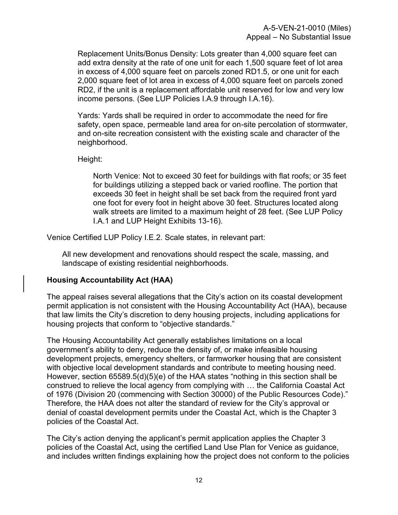Replacement Units/Bonus Density: Lots greater than 4,000 square feet can add extra density at the rate of one unit for each 1,500 square feet of lot area in excess of 4,000 square feet on parcels zoned RD1.5, or one unit for each 2,000 square feet of lot area in excess of 4,000 square feet on parcels zoned RD2, if the unit is a replacement affordable unit reserved for low and very low income persons. (See LUP Policies I.A.9 through I.A.16).

Yards: Yards shall be required in order to accommodate the need for fire safety, open space, permeable land area for on-site percolation of stormwater, and on-site recreation consistent with the existing scale and character of the neighborhood.

Height:

North Venice: Not to exceed 30 feet for buildings with flat roofs; or 35 feet for buildings utilizing a stepped back or varied roofline. The portion that exceeds 30 feet in height shall be set back from the required front yard one foot for every foot in height above 30 feet. Structures located along walk streets are limited to a maximum height of 28 feet. (See LUP Policy I.A.1 and LUP Height Exhibits 13-16).

Venice Certified LUP Policy I.E.2. Scale states, in relevant part:

All new development and renovations should respect the scale, massing, and landscape of existing residential neighborhoods.

#### **Housing Accountability Act (HAA)**

The appeal raises several allegations that the City's action on its coastal development permit application is not consistent with the Housing Accountability Act (HAA), because that law limits the City's discretion to deny housing projects, including applications for housing projects that conform to "objective standards."

The Housing Accountability Act generally establishes limitations on a local government's ability to deny, reduce the density of, or make infeasible housing development projects, emergency shelters, or farmworker housing that are consistent with objective local development standards and contribute to meeting housing need. However, section 65589.5(d)(5)(e) of the HAA states "nothing in this section shall be construed to relieve the local agency from complying with … the California Coastal Act of 1976 (Division 20 (commencing with Section 30000) of the Public Resources Code)." Therefore, the HAA does not alter the standard of review for the City's approval or denial of coastal development permits under the Coastal Act, which is the Chapter 3 policies of the Coastal Act.

The City's action denying the applicant's permit application applies the Chapter 3 policies of the Coastal Act, using the certified Land Use Plan for Venice as guidance, and includes written findings explaining how the project does not conform to the policies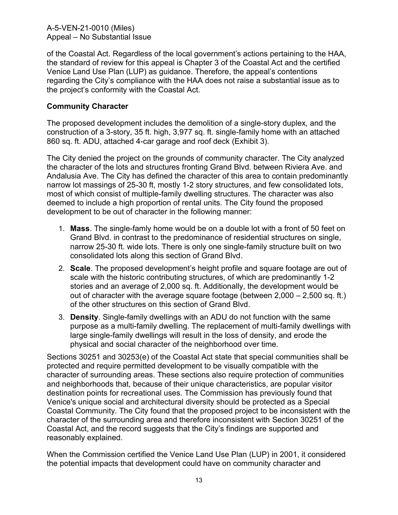A-5-VEN-21-0010 (Miles) Appeal – No Substantial Issue

of the Coastal Act. Regardless of the local government's actions pertaining to the HAA, the standard of review for this appeal is Chapter 3 of the Coastal Act and the certified Venice Land Use Plan (LUP) as guidance. Therefore, the appeal's contentions regarding the City's compliance with the HAA does not raise a substantial issue as to the project's conformity with the Coastal Act.

### **Community Character**

The proposed development includes the demolition of a single-story duplex, and the construction of a 3-story, 35 ft. high, 3,977 sq. ft. single-family home with an attached 860 sq. ft. ADU, attached 4-car garage and roof deck (Exhibit 3).

The City denied the project on the grounds of community character. The City analyzed the character of the lots and structures fronting Grand Blvd. between Riviera Ave. and Andalusia Ave. The City has defined the character of this area to contain predominantly narrow lot massings of 25-30 ft, mostly 1-2 story structures, and few consolidated lots, most of which consist of multiple-family dwelling structures. The character was also deemed to include a high proportion of rental units. The City found the proposed development to be out of character in the following manner:

- 1. **Mass**. The single-famly home would be on a double lot with a front of 50 feet on Grand Blvd. in contrast to the predominance of residential structures on single, narrow 25-30 ft. wide lots. There is only one single-family structure built on two consolidated lots along this section of Grand Blvd.
- 2. **Scale**. The proposed development's height profile and square footage are out of scale with the historic contributing structures, of which are predominantly 1-2 stories and an average of 2,000 sq. ft. Additionally, the development would be out of character with the average square footage (between  $2,000 - 2,500$  sq. ft.) of the other structures on this section of Grand Blvd.
- 3. **Density**. Single-family dwellings with an ADU do not function with the same purpose as a multi-family dwelling. The replacement of multi-family dwellings with large single-family dwellings will result in the loss of density, and erode the physical and social character of the neighborhood over time.

Sections 30251 and 30253(e) of the Coastal Act state that special communities shall be protected and require permitted development to be visually compatible with the character of surrounding areas. These sections also require protection of communities and neighborhoods that, because of their unique characteristics, are popular visitor destination points for recreational uses. The Commission has previously found that Venice's unique social and architectural diversity should be protected as a Special Coastal Community. The City found that the proposed project to be inconsistent with the character of the surrounding area and therefore inconsistent with Section 30251 of the Coastal Act, and the record suggests that the City's findings are supported and reasonably explained.

When the Commission certified the Venice Land Use Plan (LUP) in 2001, it considered the potential impacts that development could have on community character and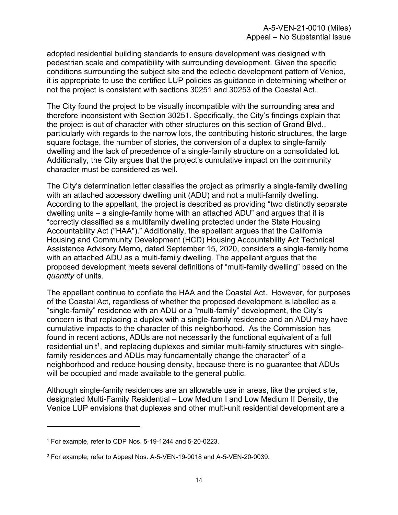adopted residential building standards to ensure development was designed with pedestrian scale and compatibility with surrounding development. Given the specific conditions surrounding the subject site and the eclectic development pattern of Venice, it is appropriate to use the certified LUP policies as guidance in determining whether or not the project is consistent with sections 30251 and 30253 of the Coastal Act.

The City found the project to be visually incompatible with the surrounding area and therefore inconsistent with Section 30251. Specifically, the City's findings explain that the project is out of character with other structures on this section of Grand Blvd., particularly with regards to the narrow lots, the contributing historic structures, the large square footage, the number of stories, the conversion of a duplex to single-family dwelling and the lack of precedence of a single-family structure on a consolidated lot. Additionally, the City argues that the project's cumulative impact on the community character must be considered as well.

The City's determination letter classifies the project as primarily a single-family dwelling with an attached accessory dwelling unit (ADU) and not a multi-family dwelling. According to the appellant, the project is described as providing "two distinctly separate dwelling units – a single-family home with an attached ADU" and argues that it is "correctly classified as a multifamily dwelling protected under the State Housing Accountability Act ("HAA")." Additionally, the appellant argues that the California Housing and Community Development (HCD) Housing Accountability Act Technical Assistance Advisory Memo, dated September 15, 2020, considers a single-family home with an attached ADU as a multi-family dwelling. The appellant argues that the proposed development meets several definitions of "multi-family dwelling" based on the *quantity* of units.

The appellant continue to conflate the HAA and the Coastal Act. However, for purposes of the Coastal Act, regardless of whether the proposed development is labelled as a "single-family" residence with an ADU or a "multi-family" development, the City's concern is that replacing a duplex with a single-family residence and an ADU may have cumulative impacts to the character of this neighborhood. As the Commission has found in recent actions, ADUs are not necessarily the functional equivalent of a full residential unit<sup>1</sup>, and replacing duplexes and similar multi-family structures with singlefamily residences and ADUs may fundamentally change the character $2$  of a neighborhood and reduce housing density, because there is no guarantee that ADUs will be occupied and made available to the general public.

Although single-family residences are an allowable use in areas, like the project site, designated Multi-Family Residential – Low Medium I and Low Medium II Density, the Venice LUP envisions that duplexes and other multi-unit residential development are a

<sup>1</sup> For example, refer to CDP Nos. 5-19-1244 and 5-20-0223.

<sup>2</sup> For example, refer to Appeal Nos. A-5-VEN-19-0018 and A-5-VEN-20-0039.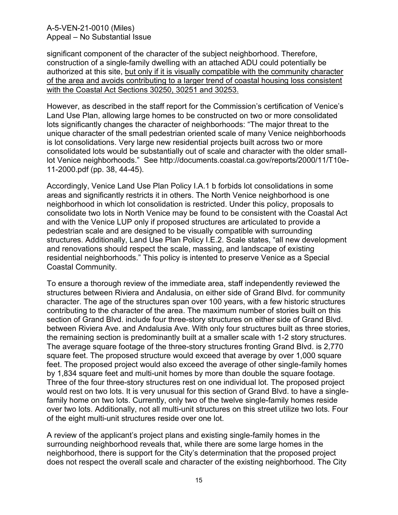#### A-5-VEN-21-0010 (Miles) Appeal – No Substantial Issue

significant component of the character of the subject neighborhood. Therefore, construction of a single-family dwelling with an attached ADU could potentially be authorized at this site, but only if it is visually compatible with the community character of the area and avoids contributing to a larger trend of coastal housing loss consistent with the Coastal Act Sections 30250, 30251 and 30253.

However, as described in the staff report for the Commission's certification of Venice's Land Use Plan, allowing large homes to be constructed on two or more consolidated lots significantly changes the character of neighborhoods: "The major threat to the unique character of the small pedestrian oriented scale of many Venice neighborhoods is lot consolidations. Very large new residential projects built across two or more consolidated lots would be substantially out of scale and character with the older smalllot Venice neighborhoods." See http://documents.coastal.ca.gov/reports/2000/11/T10e-11-2000.pdf (pp. 38, 44-45).

Accordingly, Venice Land Use Plan Policy I.A.1 b forbids lot consolidations in some areas and significantly restricts it in others. The North Venice neighborhood is one neighborhood in which lot consolidation is restricted. Under this policy, proposals to consolidate two lots in North Venice may be found to be consistent with the Coastal Act and with the Venice LUP only if proposed structures are articulated to provide a pedestrian scale and are designed to be visually compatible with surrounding structures. Additionally, Land Use Plan Policy I.E.2. Scale states, "all new development and renovations should respect the scale, massing, and landscape of existing residential neighborhoods." This policy is intented to preserve Venice as a Special Coastal Community.

To ensure a thorough review of the immediate area, staff independently reviewed the structures between Riviera and Andalusia, on either side of Grand Blvd. for community character. The age of the structures span over 100 years, with a few historic structures contributing to the character of the area. The maximum number of stories built on this section of Grand Blvd. include four three-story structures on either side of Grand Blvd. between Riviera Ave. and Andalusia Ave. With only four structures built as three stories, the remaining section is predominantly built at a smaller scale with 1-2 story structures. The average square footage of the three-story structures fronting Grand Blvd. is 2,770 square feet. The proposed structure would exceed that average by over 1,000 square feet. The proposed project would also exceed the average of other single-family homes by 1,834 square feet and multi-unit homes by more than double the square footage. Three of the four three-story structures rest on one individual lot. The proposed project would rest on two lots. It is very unusual for this section of Grand Blvd. to have a singlefamily home on two lots. Currently, only two of the twelve single-family homes reside over two lots. Additionally, not all multi-unit structures on this street utilize two lots. Four of the eight multi-unit structures reside over one lot.

A review of the applicant's project plans and existing single-family homes in the surrounding neighborhood reveals that, while there are some large homes in the neighborhood, there is support for the City's determination that the proposed project does not respect the overall scale and character of the existing neighborhood. The City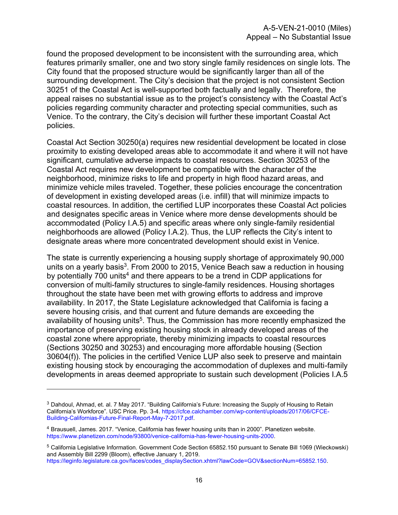found the proposed development to be inconsistent with the surrounding area, which features primarily smaller, one and two story single family residences on single lots. The City found that the proposed structure would be significantly larger than all of the surrounding development. The City's decision that the project is not consistent Section 30251 of the Coastal Act is well-supported both factually and legally. Therefore, the appeal raises no substantial issue as to the project's consistency with the Coastal Act's policies regarding community character and protecting special communities, such as Venice. To the contrary, the City's decision will further these important Coastal Act policies.

Coastal Act Section 30250(a) requires new residential development be located in close proximity to existing developed areas able to accommodate it and where it will not have significant, cumulative adverse impacts to coastal resources. Section 30253 of the Coastal Act requires new development be compatible with the character of the neighborhood, minimize risks to life and property in high flood hazard areas, and minimize vehicle miles traveled. Together, these policies encourage the concentration of development in existing developed areas (i.e. infill) that will minimize impacts to coastal resources. In addition, the certified LUP incorporates these Coastal Act policies and designates specific areas in Venice where more dense developments should be accommodated (Policy I.A.5) and specific areas where only single-family residential neighborhoods are allowed (Policy I.A.2). Thus, the LUP reflects the City's intent to designate areas where more concentrated development should exist in Venice.

The state is currently experiencing a housing supply shortage of approximately 90,000 units on a yearly basis<sup>3</sup>. From 2000 to 2015, Venice Beach saw a reduction in housing by potentially 700 units<sup>4</sup> and there appears to be a trend in CDP applications for conversion of multi-family structures to single-family residences. Housing shortages throughout the state have been met with growing efforts to address and improve availability. In 2017, the State Legislature acknowledged that California is facing a severe housing crisis, and that current and future demands are exceeding the availability of housing units<sup>5</sup>. Thus, the Commission has more recently emphasized the importance of preserving existing housing stock in already developed areas of the coastal zone where appropriate, thereby minimizing impacts to coastal resources (Sections 30250 and 30253) and encouraging more affordable housing (Section 30604(f)). The policies in the certified Venice LUP also seek to preserve and maintain existing housing stock by encouraging the accommodation of duplexes and multi-family developments in areas deemed appropriate to sustain such development (Policies I.A.5

<sup>3</sup> Dahdoul, Ahmad, et. al. 7 May 2017. "Building California's Future: Increasing the Supply of Housing to Retain California's Workforce". USC Price. Pp. 3-4. https://cfce.calchamber.com/wp-content/uploads/2017/06/CFCE-Building-Californias-Future-Final-Report-May-7-2017.pdf.

<sup>4</sup> Brausuell, James. 2017. "Venice, California has fewer housing units than in 2000". Planetizen website. https://www.planetizen.com/node/93800/venice-california-has-fewer-housing-units-2000.

<sup>5</sup> California Legislative Information. Government Code Section 65852.150 pursuant to Senate Bill 1069 (Wieckowski) and Assembly Bill 2299 (Bloom), effective January 1, 2019.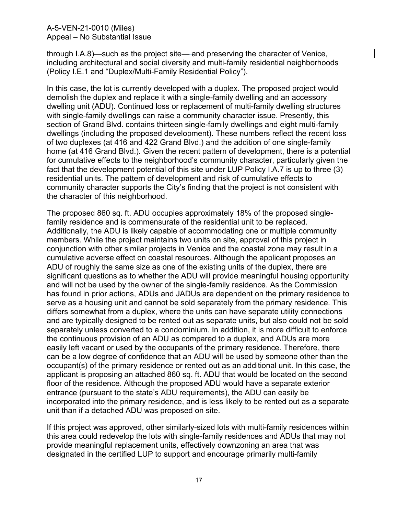A-5-VEN-21-0010 (Miles) Appeal – No Substantial Issue

through I.A.8)—such as the project site— and preserving the character of Venice, including architectural and social diversity and multi-family residential neighborhoods (Policy I.E.1 and "Duplex/Multi-Family Residential Policy").

In this case, the lot is currently developed with a duplex. The proposed project would demolish the duplex and replace it with a single-family dwelling and an accessory dwelling unit (ADU). Continued loss or replacement of multi-family dwelling structures with single-family dwellings can raise a community character issue. Presently, this section of Grand Blvd. contains thirteen single-family dwellings and eight multi-family dwellings (including the proposed development). These numbers reflect the recent loss of two duplexes (at 416 and 422 Grand Blvd.) and the addition of one single-family home (at 416 Grand Blvd.). Given the recent pattern of development, there is a potential for cumulative effects to the neighborhood's community character, particularly given the fact that the development potential of this site under LUP Policy I.A.7 is up to three (3) residential units. The pattern of development and risk of cumulative effects to community character supports the City's finding that the project is not consistent with the character of this neighborhood.

The proposed 860 sq. ft. ADU occupies approximately 18% of the proposed singlefamily residence and is commensurate of the residential unit to be replaced. Additionally, the ADU is likely capable of accommodating one or multiple community members. While the project maintains two units on site, approval of this project in conjunction with other similar projects in Venice and the coastal zone may result in a cumulative adverse effect on coastal resources. Although the applicant proposes an ADU of roughly the same size as one of the existing units of the duplex, there are significant questions as to whether the ADU will provide meaningful housing opportunity and will not be used by the owner of the single-family residence. As the Commission has found in prior actions, ADUs and JADUs are dependent on the primary residence to serve as a housing unit and cannot be sold separately from the primary residence. This differs somewhat from a duplex, where the units can have separate utility connections and are typically designed to be rented out as separate units, but also could not be sold separately unless converted to a condominium. In addition, it is more difficult to enforce the continuous provision of an ADU as compared to a duplex, and ADUs are more easily left vacant or used by the occupants of the primary residence. Therefore, there can be a low degree of confidence that an ADU will be used by someone other than the occupant(s) of the primary residence or rented out as an additional unit. In this case, the applicant is proposing an attached 860 sq. ft. ADU that would be located on the second floor of the residence. Although the proposed ADU would have a separate exterior entrance (pursuant to the state's ADU requirements), the ADU can easily be incorporated into the primary residence, and is less likely to be rented out as a separate unit than if a detached ADU was proposed on site.

If this project was approved, other similarly-sized lots with multi-family residences within this area could redevelop the lots with single-family residences and ADUs that may not provide meaningful replacement units, effectively downzoning an area that was designated in the certified LUP to support and encourage primarily multi-family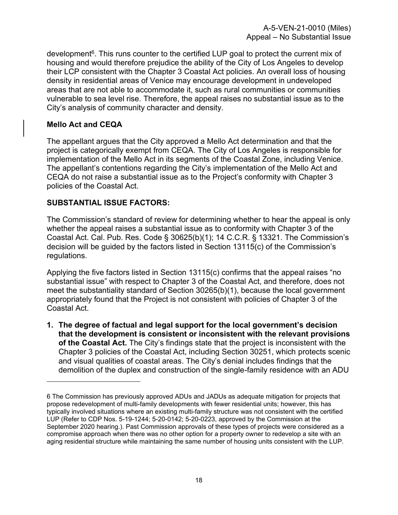development<sup>6</sup>. This runs counter to the certified LUP goal to protect the current mix of housing and would therefore prejudice the ability of the City of Los Angeles to develop their LCP consistent with the Chapter 3 Coastal Act policies. An overall loss of housing density in residential areas of Venice may encourage development in undeveloped areas that are not able to accommodate it, such as rural communities or communities vulnerable to sea level rise. Therefore, the appeal raises no substantial issue as to the City's analysis of community character and density.

#### **Mello Act and CEQA**

The appellant argues that the City approved a Mello Act determination and that the project is categorically exempt from CEQA. The City of Los Angeles is responsible for implementation of the Mello Act in its segments of the Coastal Zone, including Venice. The appellant's contentions regarding the City's implementation of the Mello Act and CEQA do not raise a substantial issue as to the Project's conformity with Chapter 3 policies of the Coastal Act.

#### **SUBSTANTIAL ISSUE FACTORS:**

The Commission's standard of review for determining whether to hear the appeal is only whether the appeal raises a substantial issue as to conformity with Chapter 3 of the Coastal Act. Cal. Pub. Res. Code § 30625(b)(1); 14 C.C.R. § 13321. The Commission's decision will be guided by the factors listed in Section 13115(c) of the Commission's regulations.

Applying the five factors listed in Section 13115(c) confirms that the appeal raises "no substantial issue" with respect to Chapter 3 of the Coastal Act, and therefore, does not meet the substantiality standard of Section 30265(b)(1), because the local government appropriately found that the Project is not consistent with policies of Chapter 3 of the Coastal Act.

**1. The degree of factual and legal support for the local government's decision that the development is consistent or inconsistent with the relevant provisions of the Coastal Act.** The City's findings state that the project is inconsistent with the Chapter 3 policies of the Coastal Act, including Section 30251, which protects scenic and visual qualities of coastal areas. The City's denial includes findings that the demolition of the duplex and construction of the single-family residence with an ADU

<sup>6</sup> The Commission has previously approved ADUs and JADUs as adequate mitigation for projects that propose redevelopment of multi-family developments with fewer residential units; however, this has typically involved situations where an existing multi-family structure was not consistent with the certified LUP (Refer to CDP Nos. 5-19-1244; 5-20-0142; 5-20-0223, approved by the Commission at the September 2020 hearing.). Past Commission approvals of these types of projects were considered as a compromise approach when there was no other option for a property owner to redevelop a site with an aging residential structure while maintaining the same number of housing units consistent with the LUP.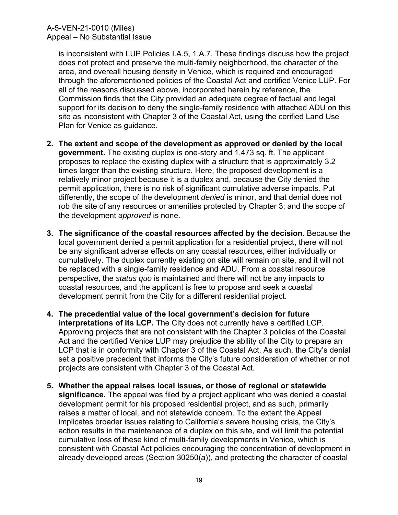is inconsistent with LUP Policies I.A.5, 1.A.7. These findings discuss how the project does not protect and preserve the multi-family neighborhood, the character of the area, and overeall housing density in Venice, which is required and encouraged through the aforementioned policies of the Coastal Act and certified Venice LUP. For all of the reasons discussed above, incorporated herein by reference, the Commission finds that the City provided an adequate degree of factual and legal support for its decision to deny the single-family residence with attached ADU on this site as inconsistent with Chapter 3 of the Coastal Act, using the cerified Land Use Plan for Venice as guidance.

- **2. The extent and scope of the development as approved or denied by the local government.** The existing duplex is one-story and 1,473 sq. ft. The applicant proposes to replace the existing duplex with a structure that is approximately 3.2 times larger than the existing structure. Here, the proposed development is a relatively minor project because it is a duplex and, because the City denied the permit application, there is no risk of significant cumulative adverse impacts. Put differently, the scope of the development *denied* is minor, and that denial does not rob the site of any resources or amenities protected by Chapter 3; and the scope of the development *approved* is none.
- **3. The significance of the coastal resources affected by the decision.** Because the local government denied a permit application for a residential project, there will not be any significant adverse effects on any coastal resources, either individually or cumulatively. The duplex currently existing on site will remain on site, and it will not be replaced with a single-family residence and ADU. From a coastal resource perspective, the *status quo* is maintained and there will not be any impacts to coastal resources, and the applicant is free to propose and seek a coastal development permit from the City for a different residential project.
- **4. The precedential value of the local government's decision for future interpretations of its LCP.** The City does not currently have a certified LCP. Approving projects that are not consistent with the Chapter 3 policies of the Coastal Act and the certified Venice LUP may prejudice the ability of the City to prepare an LCP that is in conformity with Chapter 3 of the Coastal Act. As such, the City's denial set a positive precedent that informs the City's future consideration of whether or not projects are consistent with Chapter 3 of the Coastal Act.
- **5. Whether the appeal raises local issues, or those of regional or statewide significance.** The appeal was filed by a project applicant who was denied a coastal development permit for his proposed residential project, and as such, primarily raises a matter of local, and not statewide concern. To the extent the Appeal implicates broader issues relating to California's severe housing crisis, the City's action results in the maintenance of a duplex on this site, and will limit the potential cumulative loss of these kind of multi-family developments in Venice, which is consistent with Coastal Act policies encouraging the concentration of development in already developed areas (Section 30250(a)), and protecting the character of coastal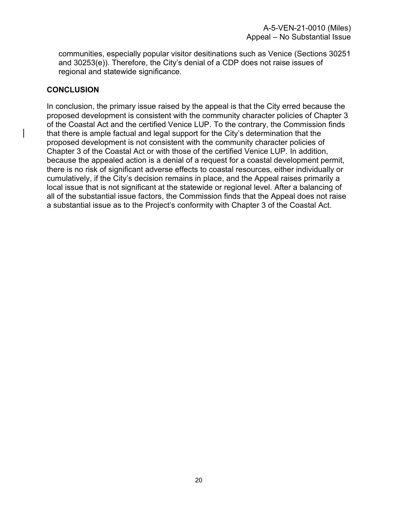communities, especially popular visitor desitinations such as Venice (Sections 30251 and 30253(e)). Therefore, the City's denial of a CDP does not raise issues of regional and statewide significance.

#### **CONCLUSION**

In conclusion, the primary issue raised by the appeal is that the City erred because the proposed development is consistent with the community character policies of Chapter 3 of the Coastal Act and the certified Venice LUP. To the contrary, the Commission finds that there is ample factual and legal support for the City's determination that the proposed development is not consistent with the community character policies of Chapter 3 of the Coastal Act or with those of the certified Venice LUP. In addition, because the appealed action is a denial of a request for a coastal development permit, there is no risk of significant adverse effects to coastal resources, either individually or cumulatively, if the City's decision remains in place, and the Appeal raises primarily a local issue that is not significant at the statewide or regional level. After a balancing of all of the substantial issue factors, the Commission finds that the Appeal does not raise a substantial issue as to the Project's conformity with Chapter 3 of the Coastal Act.